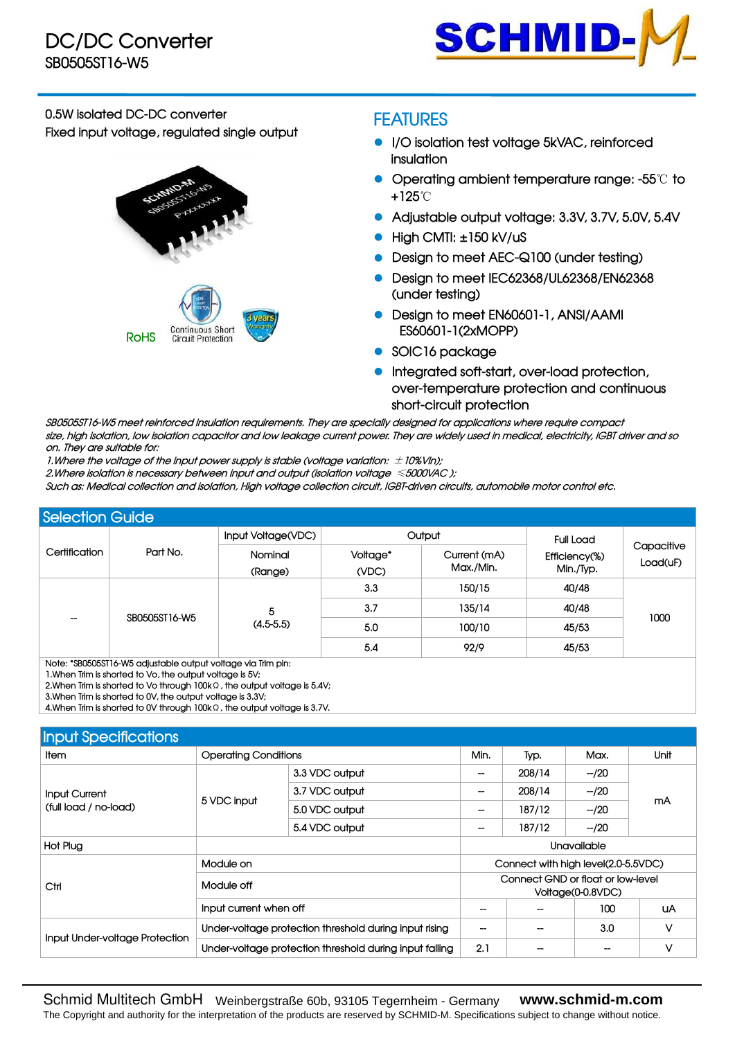

**0.5W isolated DC-DC converter Fixed input voltage, regulated single output**



## **FEATURES**

- **I/O isolation test voltage 5kVAC, reinforced insulation**
- **Operating ambient temperature range: -55**℃ **to +125**℃
- **Adjustable output voltage: 3.3V, 3.7V, 5.0V, 5.4V**
- **High CMTI: ±150 kV/uS**
- **Design to meet AEC-Q100 (under testing)**
- **Design to meet IEC62368/UL62368/EN62368 (under testing)**
- **Design to meet EN60601-1, ANSI/AAMI ES60601-1(2xMOPP)**
- **SOIC16 package**
- **Integrated soft-start, over-load protection, over-temperature protection and continuous short-circuit protection**

**SB0505ST16-W5 meet reinforced insulation requirements. They are specially designed for applications where require compact** size, high isolation, low isolation capacitor and low leakage current power. They are widely used in medical, electricity, IGBT driver and so **on. They are suitable for:**

**1.Where the voltage of the inputpower supply is stable (voltage variation:** ±**10%Vin);**

**2.Where isolation is necessary between input and output (isolation voltage** ≤**5000VAC );**

Such as: Medical collection and isolation, High voltage collection circuit, IGBT-driven circuits, automobile motor control etc.

| <b>Selection Guide</b>    |               |                                                                                                        |                                                          |      |                            |                        |  |
|---------------------------|---------------|--------------------------------------------------------------------------------------------------------|----------------------------------------------------------|------|----------------------------|------------------------|--|
|                           |               | Input Voltage(VDC)                                                                                     | Output<br>Voltage*<br>Current (mA)<br>Max./Min.<br>(VDC) |      | <b>Full Load</b>           | Capacitive<br>Load(uF) |  |
| Certification<br>Part No. |               | Nominal<br>(Range)                                                                                     |                                                          |      | Efficiency(%)<br>Min./Typ. |                        |  |
|                           |               | 3.3<br>150/15<br>40/48<br>3.7<br>135/14<br>40/48<br>5<br>1000<br>$(4.5-5.5)$<br>5.0<br>100/10<br>45/53 |                                                          |      |                            |                        |  |
|                           |               |                                                                                                        |                                                          |      |                            |                        |  |
| --                        | SB0505ST16-W5 |                                                                                                        |                                                          |      |                            |                        |  |
|                           |               |                                                                                                        | 5.4                                                      | 92/9 | 45/53                      |                        |  |

**Note: \*SB0505ST16-W5 adjustable output voltage via Trim pin:**

1. When Trim is shorted to Vo, the output voltage is 5V;

 $2.$ When Trim is shorted to Vo through  $100k$ Ω, the output voltage is 5.4V;

**3.When Trim is shorted to 0V, the output voltage is 3.3V;** 

**4.When Trim is shortedto 0V through 100k**Ω**, the output voltage is 3.7V.**

| <b>Input Specifications</b>    |                                                                                                                                                                                                                 |                                                         |                                                                                                                                                                                                                                                          |  |      |      |  |
|--------------------------------|-----------------------------------------------------------------------------------------------------------------------------------------------------------------------------------------------------------------|---------------------------------------------------------|----------------------------------------------------------------------------------------------------------------------------------------------------------------------------------------------------------------------------------------------------------|--|------|------|--|
| Item                           |                                                                                                                                                                                                                 |                                                         |                                                                                                                                                                                                                                                          |  | Max. | Unit |  |
|                                |                                                                                                                                                                                                                 | 3.3 VDC output                                          | Min.<br>Typ.<br>208/14<br>$-/20$<br>$-/20$<br>208/14<br>mA<br>187/12<br>$-/20$<br>187/12<br>$-/20$<br><b>Unavailable</b><br>Connect with high level(2.0-5.5VDC)<br>Connect GND or float or low-level<br>Voltage(0-0.8VDC)<br>100<br>UA<br>V<br>3.0<br>-- |  |      |      |  |
| <b>Input Current</b>           | <b>Operating Conditions</b><br>3.7 VDC output<br>5 VDC input<br>5.0 VDC output<br>5.4 VDC output<br>Module on<br>Module off<br>Input current when off<br>Under-voltage protection threshold during input rising |                                                         |                                                                                                                                                                                                                                                          |  |      |      |  |
| (full load / no-load)          |                                                                                                                                                                                                                 |                                                         |                                                                                                                                                                                                                                                          |  |      |      |  |
|                                |                                                                                                                                                                                                                 |                                                         | ٧<br>2.1                                                                                                                                                                                                                                                 |  |      |      |  |
| Hot Plug                       |                                                                                                                                                                                                                 |                                                         |                                                                                                                                                                                                                                                          |  |      |      |  |
|                                |                                                                                                                                                                                                                 |                                                         |                                                                                                                                                                                                                                                          |  |      |      |  |
| Ctrl                           |                                                                                                                                                                                                                 |                                                         |                                                                                                                                                                                                                                                          |  |      |      |  |
|                                |                                                                                                                                                                                                                 |                                                         |                                                                                                                                                                                                                                                          |  |      |      |  |
| Input Under-voltage Protection |                                                                                                                                                                                                                 |                                                         |                                                                                                                                                                                                                                                          |  |      |      |  |
|                                |                                                                                                                                                                                                                 | Under-voltage protection threshold during input falling |                                                                                                                                                                                                                                                          |  |      |      |  |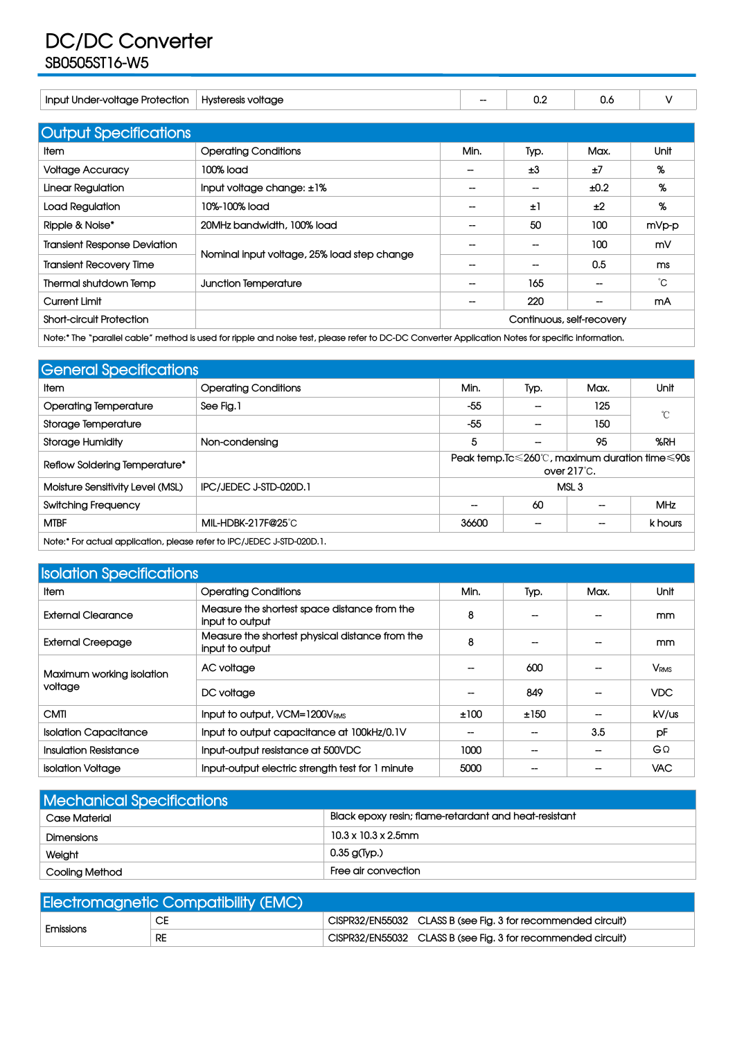## **DC/DC Converter SB0505ST16-W5**

| Input Under-voltage Protection      | Hysteresis voltage                          | $\hspace{0.05cm}$        | 0.2                      | 0.6                       | V     |
|-------------------------------------|---------------------------------------------|--------------------------|--------------------------|---------------------------|-------|
|                                     |                                             |                          |                          |                           |       |
| <b>Output Specifications</b>        |                                             |                          |                          |                           |       |
| ltem                                | <b>Operating Conditions</b>                 | Min.                     | Typ.                     | Max.                      | Unit  |
| <b>Voltage Accuracy</b>             | 100% load                                   | --                       | ±3                       | ±7                        | %     |
| Linear Regulation                   | Input voltage change: ±1%                   | --                       | --                       | ±0.2                      | %     |
| Load Regulation                     | 10%-100% load                               | --                       | ±1                       | ±2                        | %     |
| Ripple & Noise*                     | 20MHz bandwidth, 100% load                  | $\overline{\phantom{a}}$ | 50                       | 100                       | mVp-p |
| <b>Transient Response Deviation</b> |                                             |                          | $\overline{\phantom{a}}$ | 100                       | mV    |
| <b>Transient Recovery Time</b>      | Nominal input voltage, 25% load step change |                          | --                       | 0.5                       | ms    |
| Thermal shutdown Temp               | Junction Temperature                        | $\overline{\phantom{a}}$ | 165                      | --                        | °С    |
| <b>Current Limit</b>                |                                             | $\overline{\phantom{a}}$ | 220                      | --                        | mA    |
| <b>Short-circuit Protection</b>     |                                             |                          |                          | Continuous, self-recovery |       |

Note:\* The "parallel cable" method is used for ripple and noise test, please refer to DC-DC Converter Application Notes for specific information.

| <b>General Specifications</b>                                          |                             |                          |                          |                                                                                           |              |
|------------------------------------------------------------------------|-----------------------------|--------------------------|--------------------------|-------------------------------------------------------------------------------------------|--------------|
| Item                                                                   | <b>Operating Conditions</b> | Min.                     | Typ.                     | Max.                                                                                      | Unit         |
| <b>Operating Temperature</b>                                           | See Fig. 1                  | $-55$                    | $\overline{\phantom{a}}$ | 125                                                                                       | $^{\circ}$ C |
| Storage Temperature                                                    |                             | $-55$                    | --                       | 150                                                                                       |              |
| <b>Storage Humidity</b>                                                | Non-condensing              | 5                        | $\overline{\phantom{a}}$ | 95                                                                                        | %RH          |
| Reflow Soldering Temperature*                                          |                             |                          |                          | Peak temp. $Ic \le 260^{\circ}$ , maximum duration time $\leq 90s$<br>over $217^\circ$ C. |              |
| Moisture Sensitivity Level (MSL)                                       | IPC/JEDEC J-STD-020D.1      |                          |                          | MSL <sub>3</sub>                                                                          |              |
| <b>Switching Frequency</b>                                             |                             | $\overline{\phantom{a}}$ | 60                       | $\overline{\phantom{a}}$                                                                  | <b>MHz</b>   |
| <b>MTBF</b>                                                            | MIL-HDBK-217F@25°C          | 36600                    | $\overline{\phantom{a}}$ | $\overline{\phantom{a}}$                                                                  | k hours      |
| Note:* For actual application, please refer to IPC/JEDEC J-STD-020D.1. |                             |                          |                          |                                                                                           |              |

| <b>Isolation Specifications</b> |                                                                    |                   |                          |      |                        |
|---------------------------------|--------------------------------------------------------------------|-------------------|--------------------------|------|------------------------|
| ltem.                           | <b>Operating Conditions</b>                                        | Min.              | Typ.                     | Max. | Unit                   |
| <b>External Clearance</b>       | Measure the shortest space distance from the<br>input to output    | 8                 | $\overline{\phantom{a}}$ | --   | mm                     |
| <b>External Creepage</b>        | Measure the shortest physical distance from the<br>input to output | 8                 |                          |      | mm.                    |
| Maximum working isolation       | AC voltage                                                         | --                | 600                      |      | <b>V<sub>RMS</sub></b> |
| voltage                         | DC voltage                                                         | $\hspace{0.05cm}$ | 849                      | --   | <b>VDC</b>             |
| <b>CMTI</b>                     | Input to output, VCM=1200VRMS                                      | ±100              | ±150                     | --   | kV/us                  |
| <b>Isolation Capacitance</b>    | Input to output capacitance at 100kHz/0.1V                         | --                | $\hspace{0.05cm}$        | 3.5  | pF                     |
| <b>Insulation Resistance</b>    | Input-output resistance at 500VDC                                  | 1000              | --                       | --   | GΩ                     |
| isolation Voltage               | Input-output electric strength test for 1 minute                   | 5000              |                          |      | <b>VAC</b>             |

| <b>Mechanical Specifications</b> |                                                       |  |  |  |  |  |
|----------------------------------|-------------------------------------------------------|--|--|--|--|--|
| Case Material                    | Black epoxy resin; flame-retardant and heat-resistant |  |  |  |  |  |
| Dimensions                       | $10.3 \times 10.3 \times 2.5$ mm                      |  |  |  |  |  |
| Weight                           | $0.35$ g(Typ.)                                        |  |  |  |  |  |
| Cooling Method                   | Free air convection                                   |  |  |  |  |  |

| <b>Electromagnetic Compatibility (EMC)</b> |           |  |                                                              |  |  |  |  |  |  |
|--------------------------------------------|-----------|--|--------------------------------------------------------------|--|--|--|--|--|--|
| Emissions                                  | CE        |  | CISPR32/EN55032 CLASS B (see Fig. 3 for recommended circuit) |  |  |  |  |  |  |
|                                            | <b>RE</b> |  | CISPR32/EN55032 CLASS B (see Fig. 3 for recommended circuit) |  |  |  |  |  |  |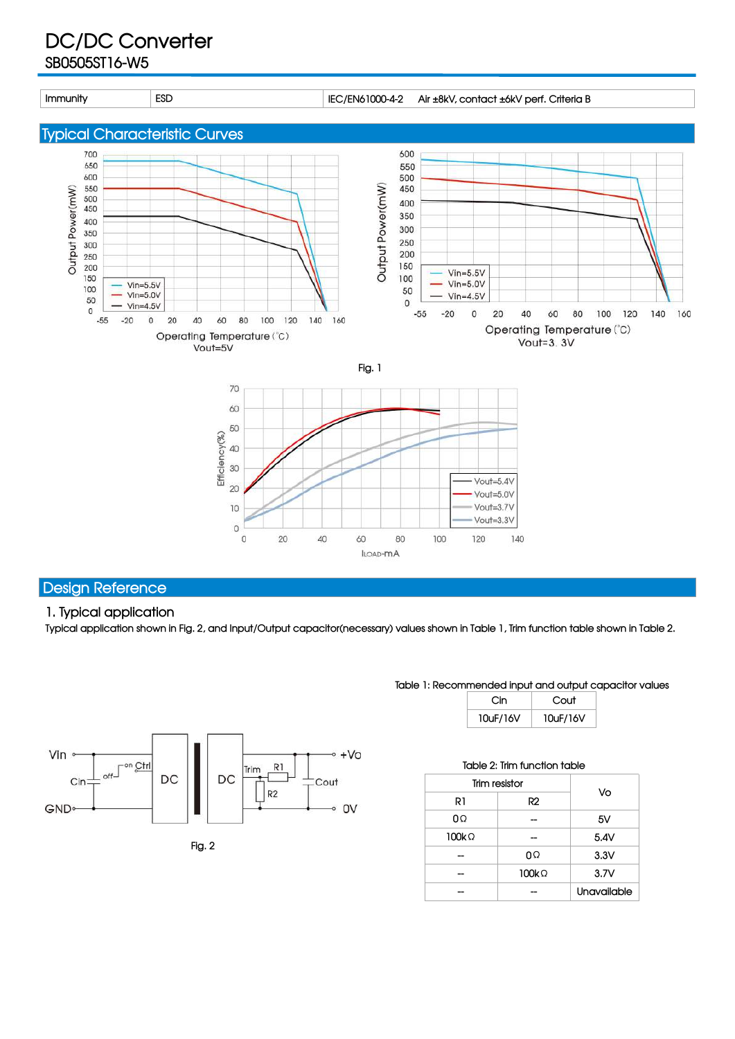## **DC/DC Converter SB0505ST16-W5**

**Immunity ESD IEC/EN61000-4-2 Air ±8kV, contact ±6kV perf. Criteria B**

**Typical Characteristic Curves**





Typical application shown in Fig. 2, and Input/Output capacitor(necessary) values shown in Table 1, Trim function table shown in Table 2.

60

ILOAD-MA

80

100



 $\begin{array}{ccc}\n\text{Effclency}(\%)\\ \n\text{S} & \text{B} & \text{C}\\ \n\text{S} & \text{C}\n\end{array}$ 

 $20$ 

 $10$ 

 $\circ$ 

 $\circ$ 

 $20\,$ 

40

**Table 1: Recommended input and output capacitor values**

Vout=5.4V

Vout=5.0V Vout=3.7V

Vout=3.3V

140

120

| Cin      | Cout     |
|----------|----------|
| 10uF/16V | 10uF/16V |

|              | Table 2: Trim function table |             |
|--------------|------------------------------|-------------|
|              | Trim resistor                |             |
| R1           | R2                           | Vo          |
| 0Ω           |                              | 5V          |
| $100k\Omega$ |                              | 5.4V        |
| --           | 0Ω                           | 3.3V        |
| --           | 100kΩ                        | 3.7V        |
|              |                              | Unavailable |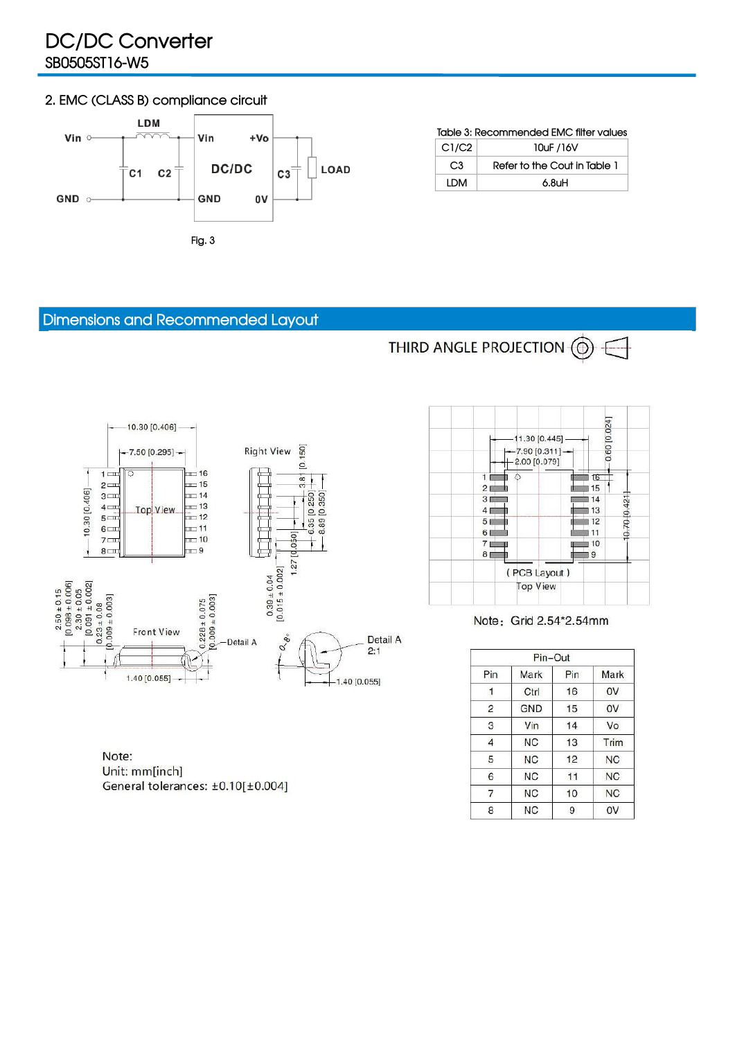# **DC/DC Converter SB0505ST16-W5**

### **2. EMC (CLASS B) compliance circuit**



#### **Table 3: Recommended EMC filter values**

| $\degree$ C1/C2 | 10uF /16V                    |
|-----------------|------------------------------|
| C3              | Refer to the Cout in Table 1 |
| LDM             | $6.8$ uH                     |

THIRD ANGLE PROJECTION  $\textcircled{0} \in$ 

### **Dimensions and Recommended Layout**

 $1 \rightleftharpoons$ 

 $2 \rightleftharpoons$ 

 $3 -$ 

 $4 \Box$ 

 $5 -$ 

 $6 \Box$ 

 $7 \square$ 

 $8 \square 1$ 

10.30 [0.406]

 $\begin{array}{r} 2.50 \pm 0.15 \\ [0.098 \pm 0.006] \\ 2.30 \pm 0.05 \\ [0.091 \pm 0.002] \\ [0.23 \pm 0.08] \\ [0.09 \pm 0.003] \end{array}$ 







#### Note: Grid 2.54\*2.54mm

|                | Pin-Out   |     |           |
|----------------|-----------|-----|-----------|
| Pin            | Mark      | Pin | Mark      |
|                | Ctrl      | 16  | 0V        |
| $\overline{c}$ | GND       | 15  | 0V        |
| 3              | Vin       | 14  | Vo        |
| 4              | <b>NC</b> | 13  | Trim      |
| 5              | ΝC        | 12  | NC.       |
| 6              | <b>NC</b> | 11  | NC.       |
| 7              | <b>NC</b> | 10  | <b>NC</b> |
| 8              | <b>NC</b> | 9   | 0V        |